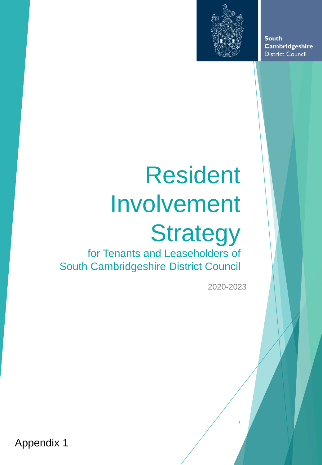

**South** Cambridgeshire **District Council** 

# Resident Involvement **Strategy**

for Tenants and Leaseholders of South Cambridgeshire District Council

2020-2023

1

Appendix 1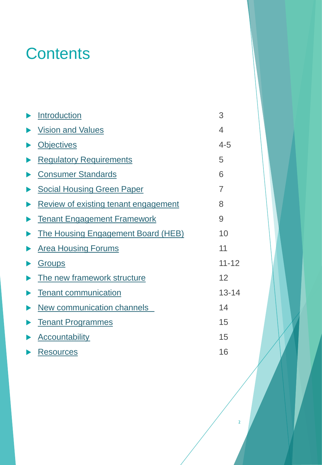# **Contents**

| Introduction                              | 3                        |
|-------------------------------------------|--------------------------|
| <b>Vision and Values</b>                  | $\overline{\mathcal{A}}$ |
| <b>Objectives</b>                         | $4 - 5$                  |
| <b>Regulatory Requirements</b>            | 5                        |
| <b>Consumer Standards</b>                 | 6                        |
| <b>Social Housing Green Paper</b>         | $\overline{7}$           |
| Review of existing tenant engagement      | 8                        |
| <b>Tenant Engagement Framework</b>        | 9                        |
| <b>The Housing Engagement Board (HEB)</b> | 10                       |
| <b>Area Housing Forums</b>                | 11                       |
| Groups                                    | $11 - 12$                |
| The new framework structure               | 12                       |
| <b>Tenant communication</b>               | $13 - 14$                |
| <b>New communication channels</b>         | 14                       |
| <b>Tenant Programmes</b>                  | 15                       |
| <b>Accountability</b>                     | 15                       |
| <b>Resources</b>                          | 16                       |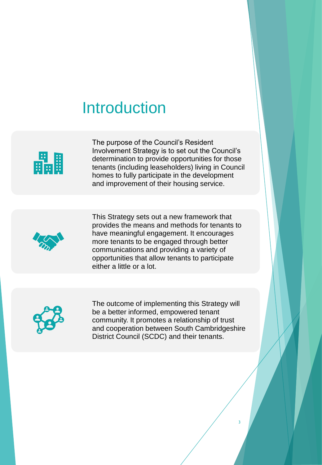# <span id="page-2-0"></span>Introduction



 The purpose of the Council's Resident Involvement Strategy is to set out the Council's determination to provide opportunities for those tenants (including leaseholders) living in Council homes to fully participate in the development and improvement of their housing service.



 This Strategy sets out a new framework that provides the means and methods for tenants to more tenants to be engaged through better communications and providing a variety of opportunities that allow tenants to participate either a little or a lot. have meaningful engagement. It encourages



 The outcome of implementing this Strategy will be a better informed, empowered tenant community. It promotes a relationship of trust and cooperation between South Cambridgeshire District Council (SCDC) and their tenants.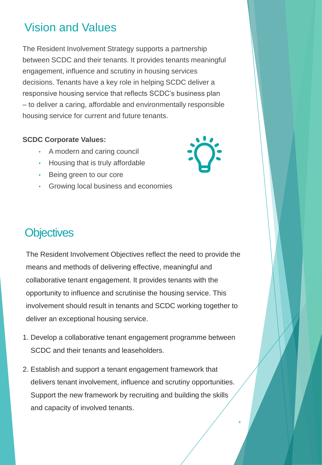### <span id="page-3-0"></span>Vision and Values

 The Resident Involvement Strategy supports a partnership between SCDC and their tenants. It provides tenants meaningful engagement, influence and scrutiny in housing services responsive housing service that reflects SCDC's business plan – to deliver a caring, affordable and environmentally responsible decisions. Tenants have a key role in helping SCDC deliver a housing service for current and future tenants.

#### **SCDC Corporate Values:**

- A modern and caring council
- Housing that is truly affordable
- Being green to our core
- Growing local business and economies

## **Objectives**

 The Resident Involvement Objectives reflect the need to provide the means and methods of delivering effective, meaningful and opportunity to influence and scrutinise the housing service. This deliver an exceptional housing service. collaborative tenant engagement. It provides tenants with the involvement should result in tenants and SCDC working together to

- 1. Develop a collaborative tenant engagement programme between SCDC and their tenants and leaseholders.
- 2. Establish and support a tenant engagement framework that Support the new framework by recruiting and building the skills and capacity of involved tenants. delivers tenant involvement, influence and scrutiny opportunities.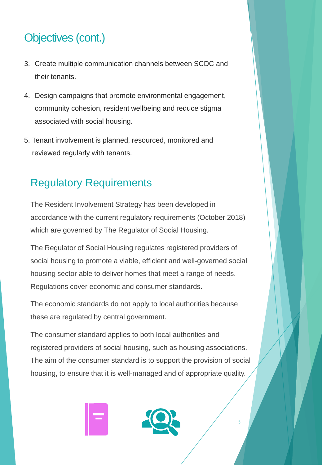## Objectives (cont.)

- 3. Create multiple communication channels between SCDC and their tenants.
- community cohesion, resident wellbeing and reduce stigma 4. Design campaigns that promote environmental engagement, associated with social housing.
- reviewed regularly with tenants. 5. Tenant involvement is planned, resourced, monitored and

#### Regulatory Requirements

 The Resident Involvement Strategy has been developed in accordance with the current regulatory requirements (October 2018) which are governed by The Regulator of Social Housing.

 social housing to promote a viable, efficient and well-governed social housing sector able to deliver homes that meet a range of needs. The Regulator of Social Housing regulates registered providers of Regulations cover economic and consumer standards.

 The economic standards do not apply to local authorities because these are regulated by central government.

 The consumer standard applies to both local authorities and registered providers of social housing, such as housing associations. The aim of the consumer standard is to support the provision of social housing, to ensure that it is well-managed and of appropriate quality.

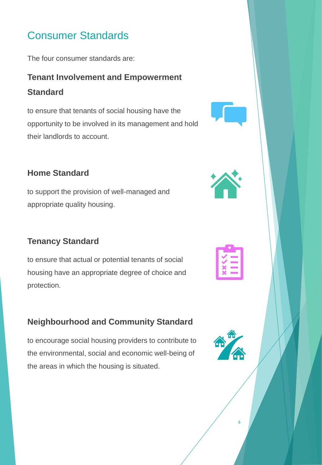#### <span id="page-5-0"></span>Consumer Standards

The four consumer standards are:

#### **Tenant Involvement and Empowerment Standard**

 to ensure that tenants of social housing have the opportunity to be involved in its management and hold their landlords to account.

#### **Home Standard**

 to support the provision of well-managed and appropriate quality housing.

#### **Tenancy Standard**

 housing have an appropriate degree of choice and to ensure that actual or potential tenants of social protection.

#### **Neighbourhood and Community Standard**

 to encourage social housing providers to contribute to the environmental, social and economic well-being of the areas in which the housing is situated.





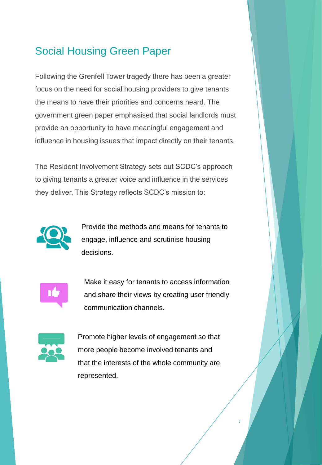#### <span id="page-6-0"></span>Social Housing Green Paper

 Following the Grenfell Tower tragedy there has been a greater focus on the need for social housing providers to give tenants the means to have their priorities and concerns heard. The government green paper emphasised that social landlords must provide an opportunity to have meaningful engagement and influence in housing issues that impact directly on their tenants.

 to giving tenants a greater voice and influence in the services The Resident Involvement Strategy sets out SCDC's approach they deliver. This Strategy reflects SCDC's mission to:



 Provide the methods and means for tenants to engage, influence and scrutinise housing decisions.



 and share their views by creating user friendly Make it easy for tenants to access information communication channels.



 that the interests of the whole community are Promote higher levels of engagement so that more people become involved tenants and represented.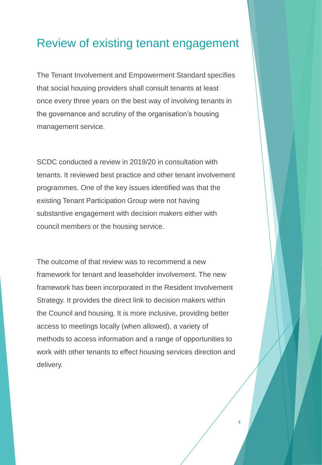#### <span id="page-7-0"></span>Review of existing tenant engagement

 once every three years on the best way of involving tenants in the governance and scrutiny of the organisation's housing The Tenant Involvement and Empowerment Standard specifies that social housing providers shall consult tenants at least management service.

 SCDC conducted a review in 2019/20 in consultation with tenants. It reviewed best practice and other tenant involvement programmes. One of the key issues identified was that the existing Tenant Participation Group were not having council members or the housing service. substantive engagement with decision makers either with

 The outcome of that review was to recommend a new framework for tenant and leaseholder involvement. The new framework has been incorporated in the Resident Involvement Strategy. It provides the direct link to decision makers within the Council and housing. It is more inclusive, providing better access to meetings locally (when allowed), a variety of methods to access information and a range of opportunities to work with other tenants to effect housing services direction and delivery.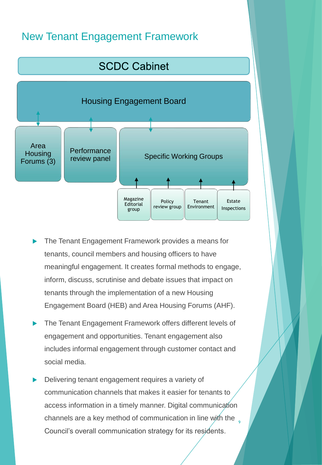#### <span id="page-8-0"></span>New Tenant Engagement Framework



- tenants, council members and housing officers to have inform, discuss, scrutinise and debate issues that impact on tenants through the implementation of a new Housing Engagement Board (HEB) and Area Housing Forums (AHF). The Tenant Engagement Framework provides a means for meaningful engagement. It creates formal methods to engage,
- social media. The Tenant Engagement Framework offers different levels of engagement and opportunities. Tenant engagement also includes informal engagement through customer contact and
- Delivering tenant engagement requires a variety of access information in a timely manner. Digital communication channels are a key method of communication in line with the  $\frac{1}{9}$  Council's overall communication strategy for its residents. communication channels that makes it easier for tenants to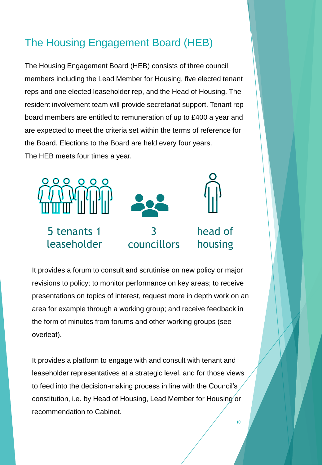#### <span id="page-9-0"></span>The Housing Engagement Board (HEB)

 The Housing Engagement Board (HEB) consists of three council members including the Lead Member for Housing, five elected tenant reps and one elected leaseholder rep, and the Head of Housing. The resident involvement team will provide secretariat support. Tenant rep board members are entitled to remuneration of up to £400 a year and are expected to meet the criteria set within the terms of reference for the Board. Elections to the Board are held every four years. The HEB meets four times a year.



 It provides a forum to consult and scrutinise on new policy or major revisions to policy; to monitor performance on key areas; to receive presentations on topics of interest, request more in depth work on an area for example through a working group; and receive feedback in the form of minutes from forums and other working groups (see overleaf).

 It provides a platform to engage with and consult with tenant and leaseholder representatives at a strategic level, and for those views to feed into the decision-making process in line with the Council's  $\overline{\phantom{a}}$  constitution, i.e. by Head of Housing, Lead Member for Housing or recommendation to Cabinet.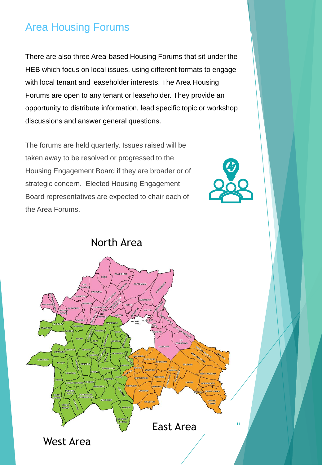#### <span id="page-10-0"></span>Area Housing Forums

 There are also three Area-based Housing Forums that sit under the HEB which focus on local issues, using different formats to engage with local tenant and leaseholder interests. The Area Housing Forums are open to any tenant or leaseholder. They provide an opportunity to distribute information, lead specific topic or workshop discussions and answer general questions.

 The forums are held quarterly. Issues raised will be taken away to be resolved or progressed to the strategic concern. Elected Housing Engagement Board representatives are expected to chair each of the Area Forums. Housing Engagement Board if they are broader or of



North Area GAMLINGA LINTON HORSEHEATH East Area 11 West Area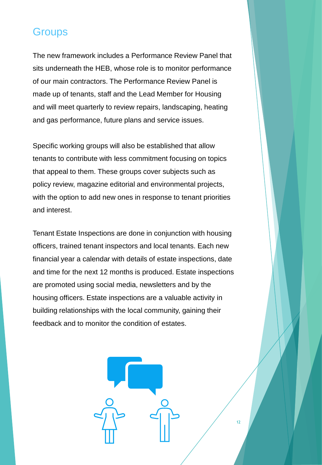#### <span id="page-11-0"></span>**Groups**

 The new framework includes a Performance Review Panel that sits underneath the HEB, whose role is to monitor performance made up of tenants, staff and the Lead Member for Housing and will meet quarterly to review repairs, landscaping, heating of our main contractors. The Performance Review Panel is and gas performance, future plans and service issues.

 Specific working groups will also be established that allow tenants to contribute with less commitment focusing on topics with the option to add new ones in response to tenant priorities that appeal to them. These groups cover subjects such as policy review, magazine editorial and environmental projects, and interest.

 Tenant Estate Inspections are done in conjunction with housing officers, trained tenant inspectors and local tenants. Each new financial year a calendar with details of estate inspections, date and time for the next 12 months is produced. Estate inspections are promoted using social media, newsletters and by the building relationships with the local community, gaining their feedback and to monitor the condition of estates. housing officers. Estate inspections are a valuable activity in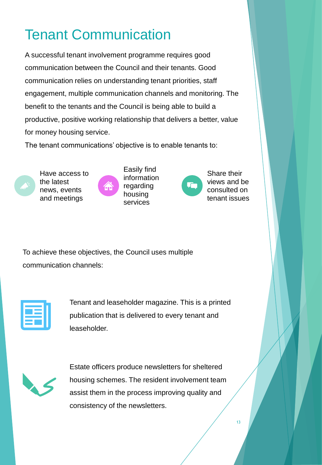# <span id="page-12-0"></span>Tenant Communication

 communication between the Council and their tenants. Good communication relies on understanding tenant priorities, staff engagement, multiple communication channels and monitoring. The benefit to the tenants and the Council is being able to build a for money housing service. A successful tenant involvement programme requires good productive, positive working relationship that delivers a better, value

The tenant communications' objective is to enable tenants to:





Easily find Have access to Easily find<br>the latest information<br>news, events regarding housing<br>and meetings services



views and be consulted on

 To achieve these objectives, the Council uses multiple communication channels:

 publication that is delivered to every tenant and Tenant and leaseholder magazine. This is a printed leaseholder.



 assist them in the process improving quality and consistency of the newsletters. Estate officers produce newsletters for sheltered housing schemes. The resident involvement team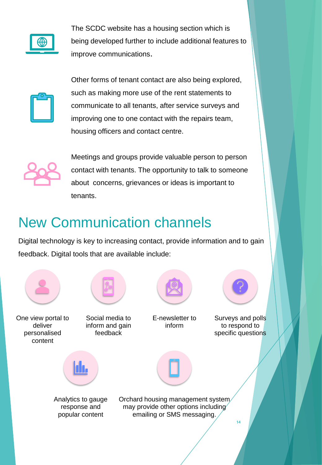<span id="page-13-0"></span>

 The SCDC website has a housing section which is being developed further to include additional features to improve communications.



 such as making more use of the rent statements to communicate to all tenants, after service surveys and improving one to one contact with the repairs team, Other forms of tenant contact are also being explored, housing officers and contact centre.



 Meetings and groups provide valuable person to person contact with tenants. The opportunity to talk to someone about concerns, grievances or ideas is important to tenants.

# New Communication channels

 Digital technology is key to increasing contact, provide information and to gain feedback. Digital tools that are available include:

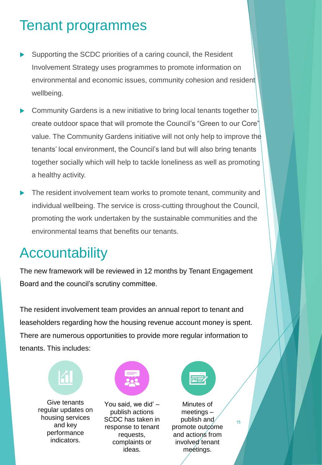# <span id="page-14-0"></span>Tenant programmes

- Supporting the SCDC priorities of a caring council, the Resident Involvement Strategy uses programmes to promote information on environmental and economic issues, community cohesion and resident wellbeing.
- **Community Gardens is a new initiative to bring local tenants together to**  create outdoor space that will promote the Council's "Green to our Core" value. The Community Gardens initiative will not only help to improve the tenants' local environment, the Council's land but will also bring tenants a healthy activity. together socially which will help to tackle loneliness as well as promoting
- **The resident involvement team works to promote tenant, community and**  promoting the work undertaken by the sustainable communities and the individual wellbeing. The service is cross-cutting throughout the Council, environmental teams that benefits our tenants.

## **Accountability**

 The new framework will be reviewed in 12 months by Tenant Engagement Board and the council's scrutiny committee.

 The resident involvement team provides an annual report to tenant and leaseholders regarding how the housing revenue account money is spent. There are numerous opportunities to provide more regular information to tenants. This includes:





SCDC has taken in indicators. complaints or involved tenant Give tenants You said, we did' – Minutes of<br>
Figular updates on the publish actions the meetings regular updates on publish actions meetings –<br>housing services SCDC has taken in publish and<br>and key response to tenant promote outcome<br>performance requests, and actions from ideas.



meetings.